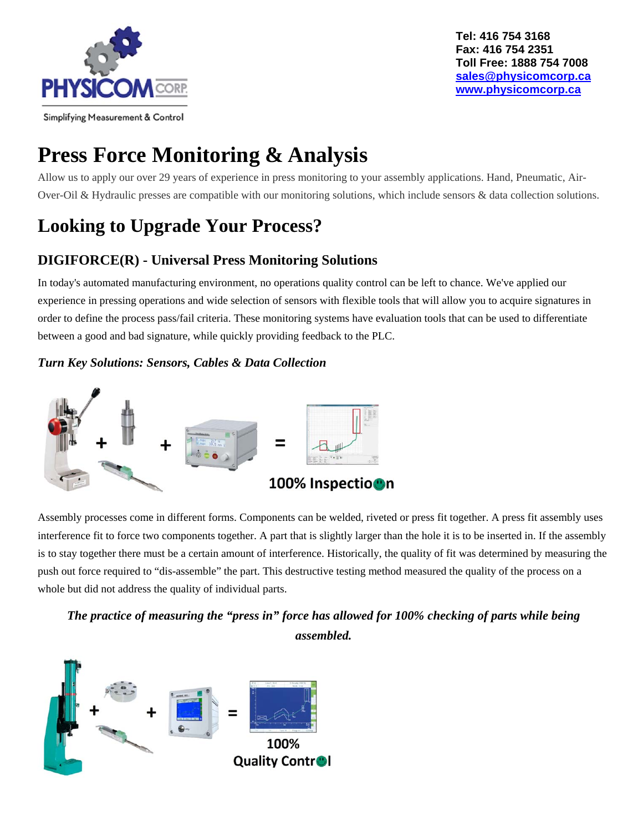

# **Press Force Monitoring & Analysis**

Allow us to apply our over 29 years of experience in press monitoring to your assembly applications. Hand, Pneumatic, Air-Over-Oil & Hydraulic presses are compatible with our monitoring solutions, which include sensors & data collection solutions.

## **Looking to Upgrade Your Process?**

## **DIGIFORCE(R) - Universal Press Monitoring Solutions**

In today's automated manufacturing environment, no operations quality control can be left to chance. We've applied our experience in pressing operations and wide selection of sensors with flexible tools that will allow you to acquire signatures in order to define the process pass/fail criteria. These monitoring systems have evaluation tools that can be used to differentiate between a good and bad signature, while quickly providing feedback to the PLC.

#### *Turn Key Solutions: Sensors, Cables & Data Collection*



Assembly processes come in different forms. Components can be welded, riveted or press fit together. A press fit assembly uses interference fit to force two components together. A part that is slightly larger than the hole it is to be inserted in. If the assembly is to stay together there must be a certain amount of interference. Historically, the quality of fit was determined by measuring the push out force required to "dis-assemble" the part. This destructive testing method measured the quality of the process on a whole but did not address the quality of individual parts.

## *The practice of measuring the "press in" force has allowed for 100% checking of parts while being assembled.*

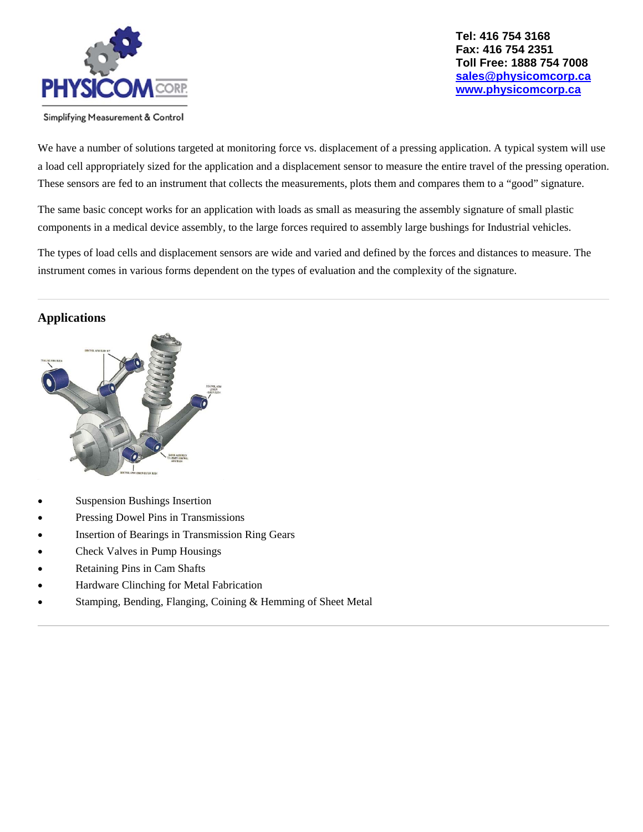

We have a number of solutions targeted at monitoring force vs. displacement of a pressing application. A typical system will use a load cell appropriately sized for the application and a displacement sensor to measure the entire travel of the pressing operation. These sensors are fed to an instrument that collects the measurements, plots them and compares them to a "good" signature.

The same basic concept works for an application with loads as small as measuring the assembly signature of small plastic components in a medical device assembly, to the large forces required to assembly large bushings for Industrial vehicles.

The types of load cells and displacement sensors are wide and varied and defined by the forces and distances to measure. The instrument comes in various forms dependent on the types of evaluation and the complexity of the signature.

#### **Applications**



- Suspension Bushings Insertion
- Pressing Dowel Pins in Transmissions
- Insertion of Bearings in Transmission Ring Gears
- Check Valves in Pump Housings
- Retaining Pins in Cam Shafts
- Hardware Clinching for Metal Fabrication
- Stamping, Bending, Flanging, Coining & Hemming of Sheet Metal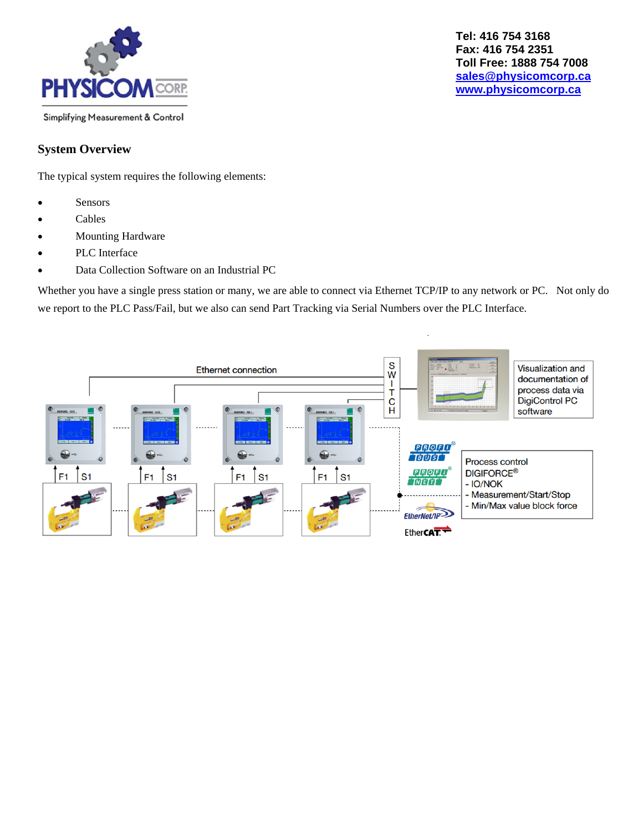

## **System Overview**

The typical system requires the following elements:

- Sensors
- Cables
- Mounting Hardware
- PLC Interface
- Data Collection Software on an Industrial PC

Whether you have a single press station or many, we are able to connect via Ethernet TCP/IP to any network or PC. Not only do we report to the PLC Pass/Fail, but we also can send Part Tracking via Serial Numbers over the PLC Interface.

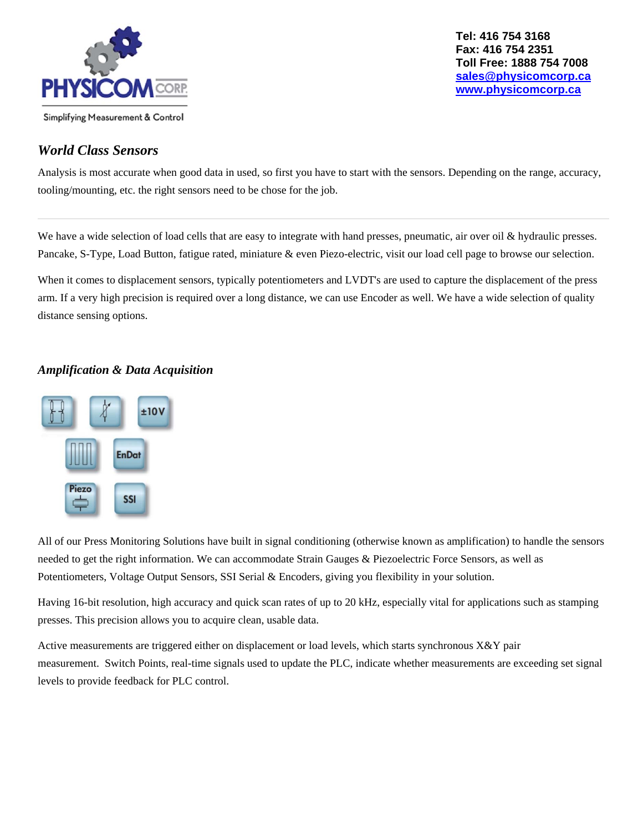

### *World Class Sensors*

Analysis is most accurate when good data in used, so first you have to start with the sensors. Depending on the range, accuracy, tooling/mounting, etc. the right sensors need to be chose for the job.

We have a wide selection of load cells that are easy to integrate with hand presses, pneumatic, air over oil & hydraulic presses. Pancake, S-Type, Load Button, fatigue rated, miniature & even Piezo-electric, visit our load cell page to browse our selection.

When it comes to displacement sensors, typically potentiometers and LVDT's are used to capture the displacement of the press arm. If a very high precision is required over a long distance, we can use Encoder as well. We have a wide selection of quality distance sensing options.

#### *Amplification & Data Acquisition*



All of our Press Monitoring Solutions have built in signal conditioning (otherwise known as amplification) to handle the sensors needed to get the right information. We can accommodate Strain Gauges & Piezoelectric Force Sensors, as well as Potentiometers, Voltage Output Sensors, SSI Serial & Encoders, giving you flexibility in your solution.

Having 16-bit resolution, high accuracy and quick scan rates of up to 20 kHz, especially vital for applications such as stamping presses. This precision allows you to acquire clean, usable data.

Active measurements are triggered either on displacement or load levels, which starts synchronous X&Y pair measurement. Switch Points, real-time signals used to update the PLC, indicate whether measurements are exceeding set signal levels to provide feedback for PLC control.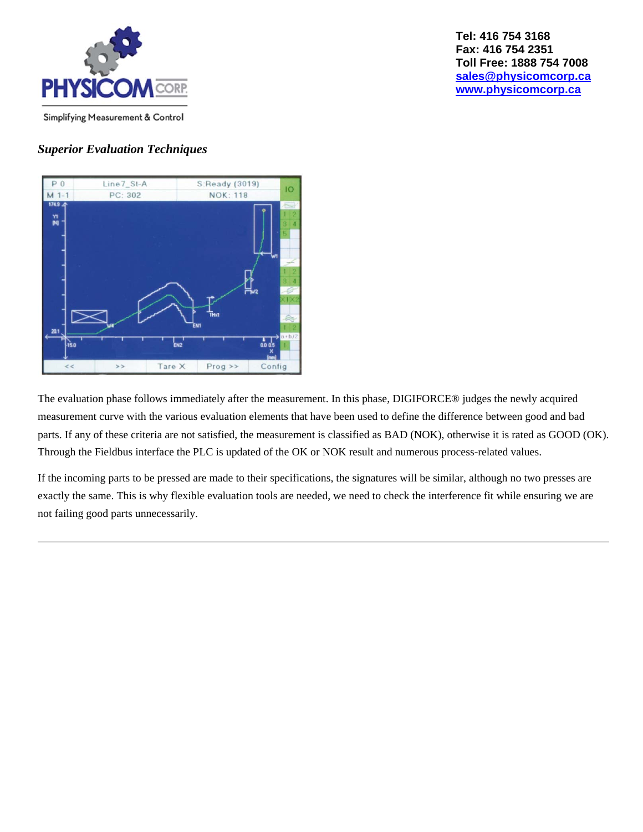

#### *Superior Evaluation Techniques*



The evaluation phase follows immediately after the measurement. In this phase, DIGIFORCE® judges the newly acquired measurement curve with the various evaluation elements that have been used to define the difference between good and bad parts. If any of these criteria are not satisfied, the measurement is classified as BAD (NOK), otherwise it is rated as GOOD (OK). Through the Fieldbus interface the PLC is updated of the OK or NOK result and numerous process-related values.

If the incoming parts to be pressed are made to their specifications, the signatures will be similar, although no two presses are exactly the same. This is why flexible evaluation tools are needed, we need to check the interference fit while ensuring we are not failing good parts unnecessarily.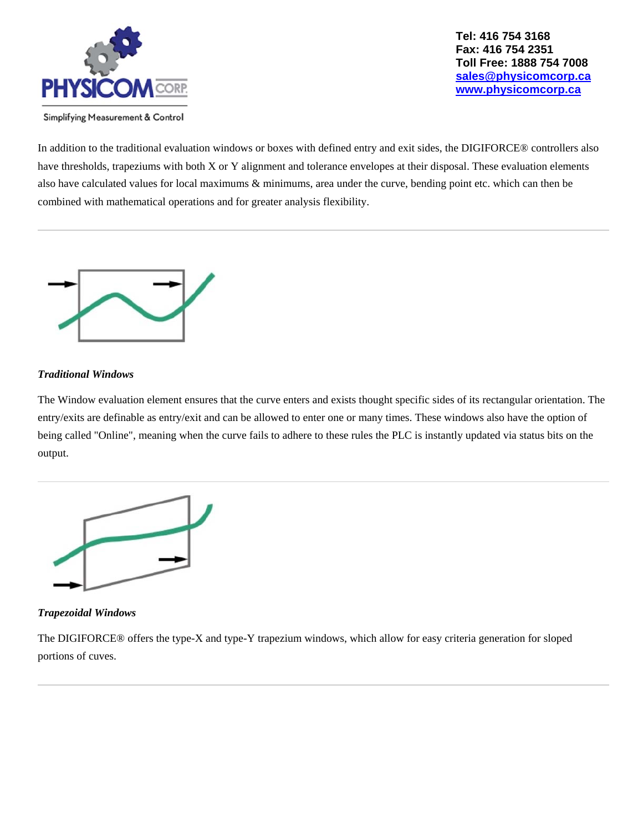

In addition to the traditional evaluation windows or boxes with defined entry and exit sides, the DIGIFORCE® controllers also have thresholds, trapeziums with both X or Y alignment and tolerance envelopes at their disposal. These evaluation elements also have calculated values for local maximums & minimums, area under the curve, bending point etc. which can then be combined with mathematical operations and for greater analysis flexibility.



#### *Traditional Windows*

The Window evaluation element ensures that the curve enters and exists thought specific sides of its rectangular orientation. The entry/exits are definable as entry/exit and can be allowed to enter one or many times. These windows also have the option of being called "Online", meaning when the curve fails to adhere to these rules the PLC is instantly updated via status bits on the output.



#### *Trapezoidal Windows*

The DIGIFORCE® offers the type-X and type-Y trapezium windows, which allow for easy criteria generation for sloped portions of cuves.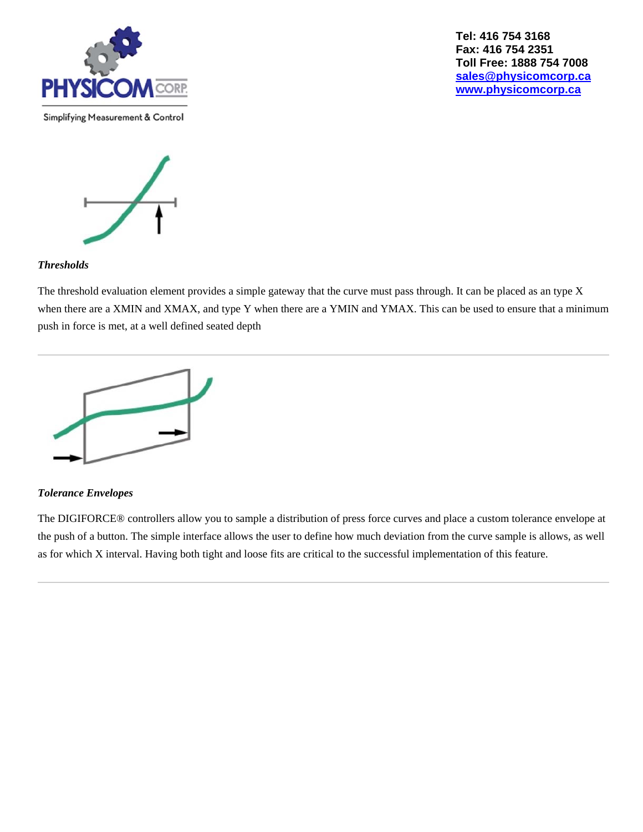

Simplifying Measurement & Control

**Tel: 416 754 3168 Fax: 416 754 2351 Toll Free: 1888 754 7008 sales@physicomcorp.ca www.physicomcorp.ca** 



#### *Thresholds*

The threshold evaluation element provides a simple gateway that the curve must pass through. It can be placed as an type X when there are a XMIN and XMAX, and type Y when there are a YMIN and YMAX. This can be used to ensure that a minimum push in force is met, at a well defined seated depth



#### *Tolerance Envelopes*

The DIGIFORCE® controllers allow you to sample a distribution of press force curves and place a custom tolerance envelope at the push of a button. The simple interface allows the user to define how much deviation from the curve sample is allows, as well as for which X interval. Having both tight and loose fits are critical to the successful implementation of this feature.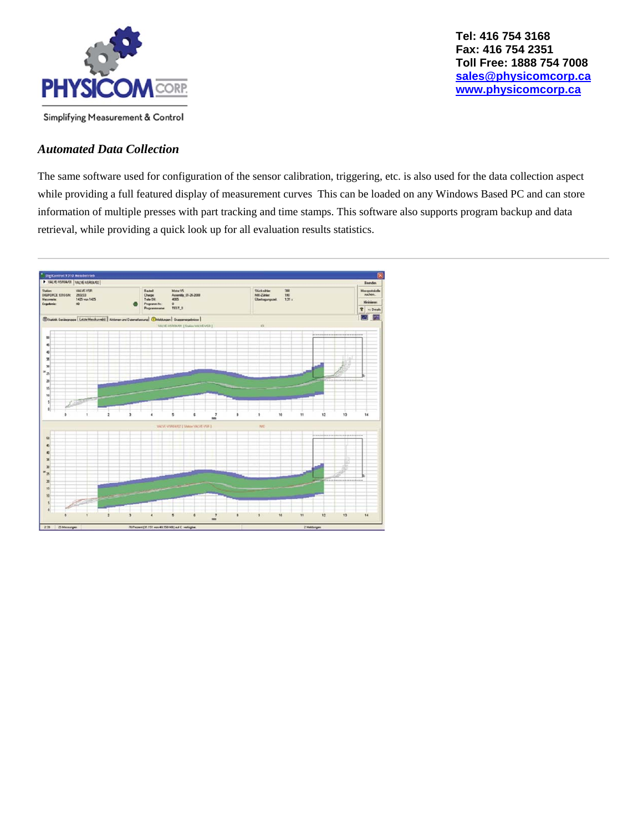

#### *Automated Data Collection*

The same software used for configuration of the sensor calibration, triggering, etc. is also used for the data collection aspect while providing a full featured display of measurement curves This can be loaded on any Windows Based PC and can store information of multiple presses with part tracking and time stamps. This software also supports program backup and data retrieval, while providing a quick look up for all evaluation results statistics.

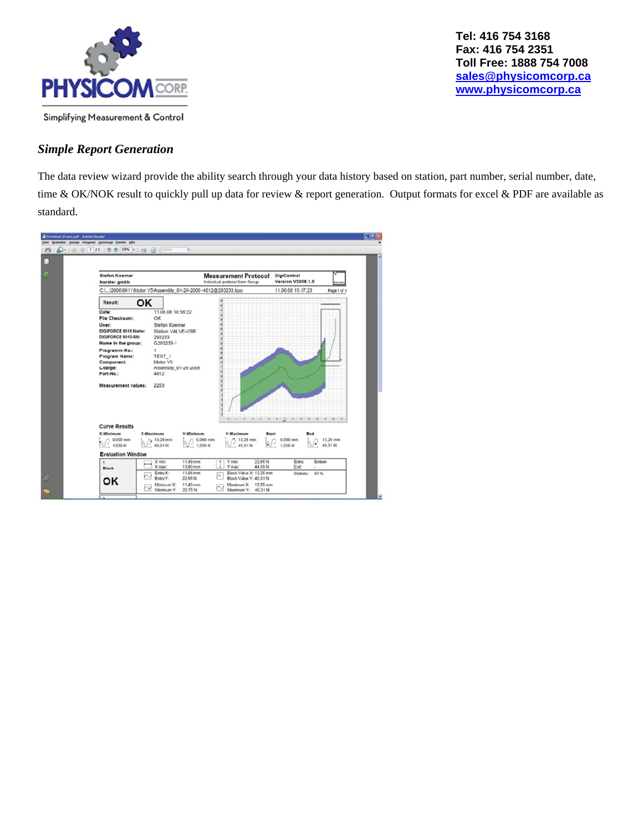

#### *Simple Report Generation*

The data review wizard provide the ability search through your data history based on station, part number, serial number, date, time & OK/NOK result to quickly pull up data for review & report generation. Output formats for excel & PDF are available as standard.

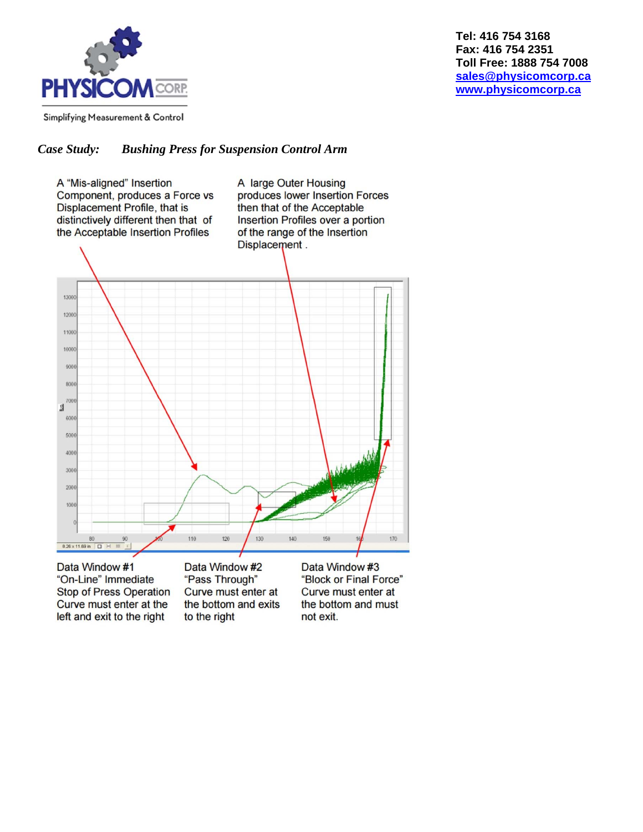

#### *Case Study: Bushing Press for Suspension Control Arm*



Data Window #1 "On-Line" Immediate **Stop of Press Operation** Curve must enter at the left and exit to the right

Data Window #2 "Pass Through" Curve must enter at the bottom and exits to the right

Data Window #3 "Block or Final Force" Curve must enter at the bottom and must not exit.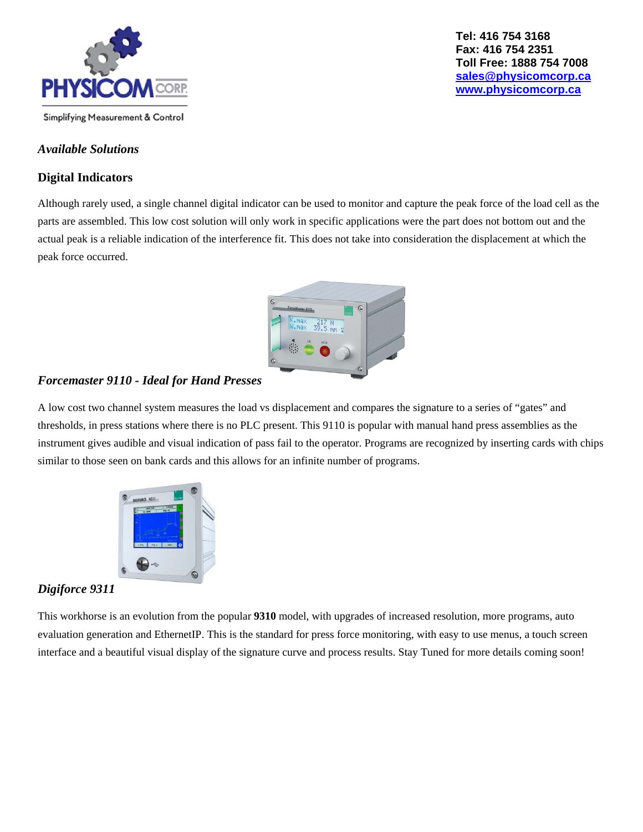

#### *Available Solutions*

#### **Digital Indicators**

Although rarely used, a single channel digital indicator can be used to monitor and capture the peak force of the load cell as the parts are assembled. This low cost solution will only work in specific applications were the part does not bottom out and the actual peak is a reliable indication of the interference fit. This does not take into consideration the displacement at which the peak force occurred.



#### *Forcemaster 9110 - Ideal for Hand Presses*

A low cost two channel system measures the load vs displacement and compares the signature to a series of "gates" and thresholds, in press stations where there is no PLC present. This 9110 is popular with manual hand press assemblies as the instrument gives audible and visual indication of pass fail to the operator. Programs are recognized by inserting cards with chips similar to those seen on bank cards and this allows for an infinite number of programs.



#### *Digiforce 9311*

This workhorse is an evolution from the popular **9310** model, with upgrades of increased resolution, more programs, auto evaluation generation and EthernetIP. This is the standard for press force monitoring, with easy to use menus, a touch screen interface and a beautiful visual display of the signature curve and process results. Stay Tuned for more details coming soon!